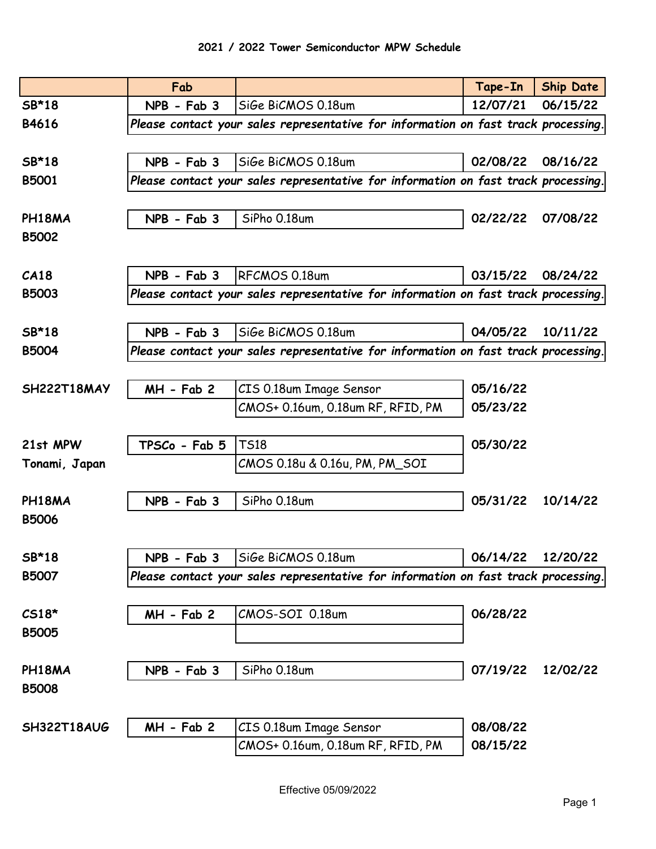|               | Fab           |                                                                                    | Tape-In           | <b>Ship Date</b> |
|---------------|---------------|------------------------------------------------------------------------------------|-------------------|------------------|
| SB*18         | NPB - Fab 3   | SiGe BiCMOS 0.18um                                                                 | 12/07/21          | 06/15/22         |
| B4616         |               | Please contact your sales representative for information on fast track processing. |                   |                  |
|               |               |                                                                                    |                   |                  |
| SB*18         | $NPB - Fab 3$ | SiGe BiCMOS 0.18um                                                                 | 02/08/22          | 08/16/22         |
| <b>B5001</b>  |               | Please contact your sales representative for information on fast track processing. |                   |                  |
|               |               |                                                                                    |                   |                  |
| PH18MA        | $NPB - Fab 3$ | SiPho 0.18um                                                                       | 02/22/22          | 07/08/22         |
| <b>B5002</b>  |               |                                                                                    |                   |                  |
|               |               |                                                                                    |                   |                  |
| CA18          | NPB - Fab 3   | RFCMOS 0.18um                                                                      | 03/15/22          | 08/24/22         |
| <b>B5003</b>  |               | Please contact your sales representative for information on fast track processing. |                   |                  |
|               |               |                                                                                    |                   |                  |
| SB*18         | $NPB - Fab 3$ | SiGe BiCMOS 0.18um                                                                 | 04/05/22          | 10/11/22         |
| <b>B5004</b>  |               | Please contact your sales representative for information on fast track processing. |                   |                  |
|               |               |                                                                                    |                   |                  |
| SH222T18MAY   | MH - Fab 2    | CIS 0.18um Image Sensor                                                            | 05/16/22          |                  |
|               |               | CMOS+ 0.16um, 0.18um RF, RFID, PM                                                  | 05/23/22          |                  |
|               |               |                                                                                    |                   |                  |
| 21st MPW      | TPSCo - Fab 5 | <b>TS18</b>                                                                        | 05/30/22          |                  |
| Tonami, Japan |               | CMOS 0.18u & 0.16u, PM, PM_SOI                                                     |                   |                  |
|               |               |                                                                                    |                   |                  |
| PH18MA        | NPB - Fab 3   | SiPho 0.18um                                                                       | 05/31/22          | 10/14/22         |
| <b>B5006</b>  |               |                                                                                    |                   |                  |
|               |               |                                                                                    |                   |                  |
| SB*18         |               | $NPB - Fab 3$ Sige BiCMOS 0.18um                                                   | 06/14/22 12/20/22 |                  |
| <b>B5007</b>  |               | Please contact your sales representative for information on fast track processing. |                   |                  |
|               |               |                                                                                    |                   |                  |
| $CS18*$       | $MH - Fab 2$  | CMOS-SOI 0.18um                                                                    | 06/28/22          |                  |
| <b>B5005</b>  |               |                                                                                    |                   |                  |
|               |               |                                                                                    |                   |                  |
| PH18MA        | NPB - Fab 3   | SiPho 0.18um                                                                       | 07/19/22          | 12/02/22         |
| <b>B5008</b>  |               |                                                                                    |                   |                  |
|               |               |                                                                                    | 08/08/22          |                  |
| SH322T18AUG   | MH - Fab 2    | CIS 0.18um Image Sensor                                                            | 08/15/22          |                  |
|               |               | CMOS+ 0.16um, 0.18um RF, RFID, PM                                                  |                   |                  |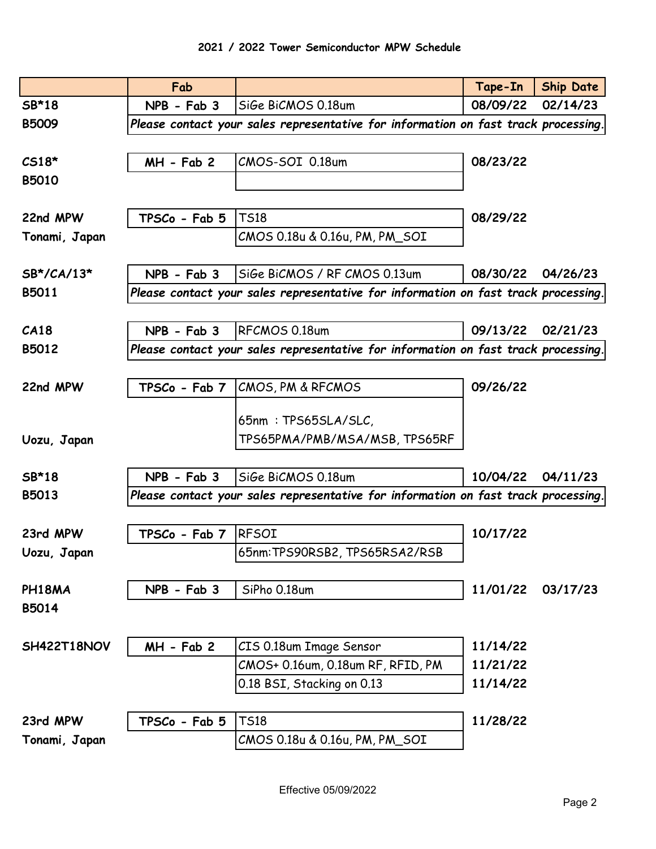|               | Fab             |                                                                                    | Tape-In  | <b>Ship Date</b> |  |  |
|---------------|-----------------|------------------------------------------------------------------------------------|----------|------------------|--|--|
| SB*18         | $NPB - Fab 3$   | SiGe BiCMOS 0.18um                                                                 | 08/09/22 | 02/14/23         |  |  |
| <b>B5009</b>  |                 | Please contact your sales representative for information on fast track processing. |          |                  |  |  |
|               |                 |                                                                                    |          |                  |  |  |
| $CS18*$       | $MH - Fab 2$    | CMOS-SOI 0.18um                                                                    | 08/23/22 |                  |  |  |
| B5010         |                 |                                                                                    |          |                  |  |  |
|               |                 |                                                                                    |          |                  |  |  |
| 22nd MPW      | TPSCo - Fab 5   | <b>TS18</b>                                                                        | 08/29/22 |                  |  |  |
| Tonami, Japan |                 | CMOS 0.18u & 0.16u, PM, PM_SOI                                                     |          |                  |  |  |
|               |                 |                                                                                    |          |                  |  |  |
| SB*/CA/13*    | $NPB - Fab 3$   | SiGe BiCMOS / RF CMOS 0.13um                                                       | 08/30/22 | 04/26/23         |  |  |
| B5011         |                 | Please contact your sales representative for information on fast track processing. |          |                  |  |  |
|               |                 |                                                                                    |          |                  |  |  |
| CA18          | NPB - Fab 3     | RFCMOS 0.18um                                                                      | 09/13/22 | 02/21/23         |  |  |
| B5012         |                 | Please contact your sales representative for information on fast track processing. |          |                  |  |  |
|               |                 |                                                                                    |          |                  |  |  |
| 22nd MPW      | $TPSCo - Fab 7$ | CMOS, PM & RFCMOS                                                                  | 09/26/22 |                  |  |  |
|               |                 |                                                                                    |          |                  |  |  |
|               |                 | 65nm: TPS65SLA/SLC,                                                                |          |                  |  |  |
| Uozu, Japan   |                 | TPS65PMA/PMB/MSA/MSB, TPS65RF                                                      |          |                  |  |  |
|               |                 |                                                                                    |          |                  |  |  |
| SB*18         | $NPB - Fab 3$   | SiGe BiCMOS 0.18um                                                                 | 10/04/22 | 04/11/23         |  |  |
| B5013         |                 | Please contact your sales representative for information on fast track processing. |          |                  |  |  |
|               |                 |                                                                                    |          |                  |  |  |
| 23rd MPW      | TPSCo - Fab 7   | <b>RFSOI</b>                                                                       | 10/17/22 |                  |  |  |
| Uozu, Japan   |                 | 65nm:TPS90RSB2, TPS65RSA2/RSB                                                      |          |                  |  |  |
|               |                 |                                                                                    |          |                  |  |  |
| PH18MA        | NPB - Fab 3     | SiPho 0.18um                                                                       | 11/01/22 | 03/17/23         |  |  |
| B5014         |                 |                                                                                    |          |                  |  |  |
|               |                 |                                                                                    |          |                  |  |  |
| SH422T18NOV   | $MH - Fab 2$    | CIS 0.18um Image Sensor                                                            | 11/14/22 |                  |  |  |
|               |                 | CMOS+ 0.16um, 0.18um RF, RFID, PM                                                  | 11/21/22 |                  |  |  |
|               |                 | 0.18 BSI, Stacking on 0.13                                                         | 11/14/22 |                  |  |  |
|               |                 |                                                                                    |          |                  |  |  |
| 23rd MPW      | TPSCo - Fab 5   | <b>TS18</b>                                                                        | 11/28/22 |                  |  |  |
| Tonami, Japan |                 | CMOS 0.18u & 0.16u, PM, PM_SOI                                                     |          |                  |  |  |